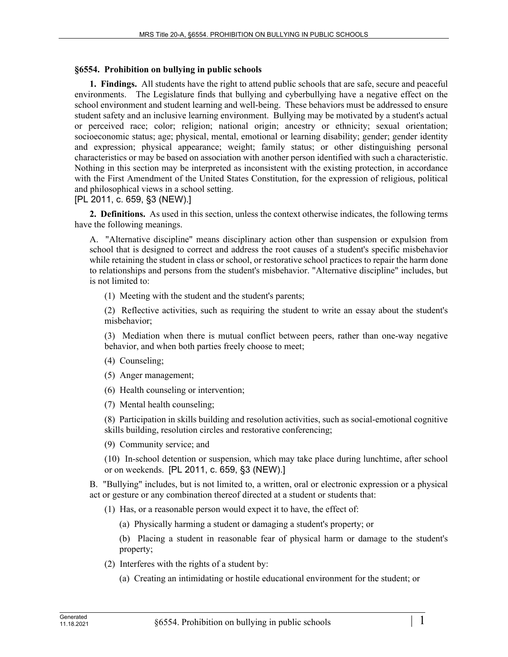## **§6554. Prohibition on bullying in public schools**

**1. Findings.** All students have the right to attend public schools that are safe, secure and peaceful environments. The Legislature finds that bullying and cyberbullying have a negative effect on the school environment and student learning and well-being. These behaviors must be addressed to ensure student safety and an inclusive learning environment. Bullying may be motivated by a student's actual or perceived race; color; religion; national origin; ancestry or ethnicity; sexual orientation; socioeconomic status; age; physical, mental, emotional or learning disability; gender; gender identity and expression; physical appearance; weight; family status; or other distinguishing personal characteristics or may be based on association with another person identified with such a characteristic. Nothing in this section may be interpreted as inconsistent with the existing protection, in accordance with the First Amendment of the United States Constitution, for the expression of religious, political and philosophical views in a school setting.

[PL 2011, c. 659, §3 (NEW).]

**2. Definitions.** As used in this section, unless the context otherwise indicates, the following terms have the following meanings.

A. "Alternative discipline" means disciplinary action other than suspension or expulsion from school that is designed to correct and address the root causes of a student's specific misbehavior while retaining the student in class or school, or restorative school practices to repair the harm done to relationships and persons from the student's misbehavior. "Alternative discipline" includes, but is not limited to:

(1) Meeting with the student and the student's parents;

(2) Reflective activities, such as requiring the student to write an essay about the student's misbehavior;

(3) Mediation when there is mutual conflict between peers, rather than one-way negative behavior, and when both parties freely choose to meet;

(4) Counseling;

(5) Anger management;

(6) Health counseling or intervention;

(7) Mental health counseling;

(8) Participation in skills building and resolution activities, such as social-emotional cognitive skills building, resolution circles and restorative conferencing;

(9) Community service; and

(10) In-school detention or suspension, which may take place during lunchtime, after school or on weekends. [PL 2011, c. 659, §3 (NEW).]

B. "Bullying" includes, but is not limited to, a written, oral or electronic expression or a physical act or gesture or any combination thereof directed at a student or students that:

(1) Has, or a reasonable person would expect it to have, the effect of:

(a) Physically harming a student or damaging a student's property; or

(b) Placing a student in reasonable fear of physical harm or damage to the student's property;

- (2) Interferes with the rights of a student by:
	- (a) Creating an intimidating or hostile educational environment for the student; or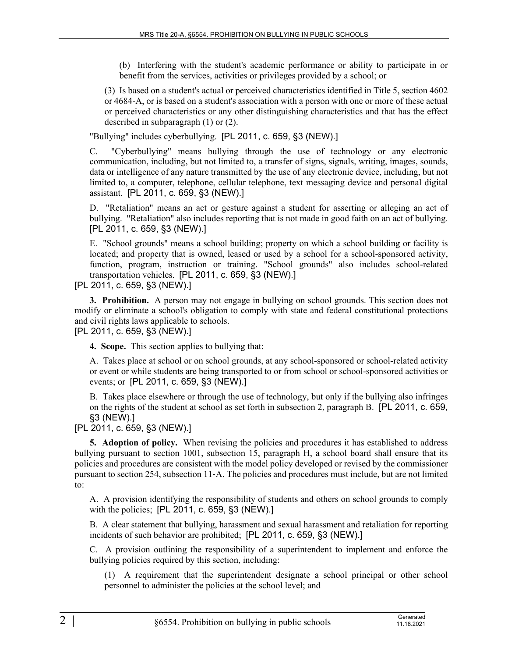(b) Interfering with the student's academic performance or ability to participate in or benefit from the services, activities or privileges provided by a school; or

(3) Is based on a student's actual or perceived characteristics identified in Title 5, section 4602 or 4684-A, or is based on a student's association with a person with one or more of these actual or perceived characteristics or any other distinguishing characteristics and that has the effect described in subparagraph (1) or (2).

"Bullying" includes cyberbullying. [PL 2011, c. 659, §3 (NEW).]

C. "Cyberbullying" means bullying through the use of technology or any electronic communication, including, but not limited to, a transfer of signs, signals, writing, images, sounds, data or intelligence of any nature transmitted by the use of any electronic device, including, but not limited to, a computer, telephone, cellular telephone, text messaging device and personal digital assistant. [PL 2011, c. 659, §3 (NEW).]

D. "Retaliation" means an act or gesture against a student for asserting or alleging an act of bullying. "Retaliation" also includes reporting that is not made in good faith on an act of bullying. [PL 2011, c. 659, §3 (NEW).]

E. "School grounds" means a school building; property on which a school building or facility is located; and property that is owned, leased or used by a school for a school-sponsored activity, function, program, instruction or training. "School grounds" also includes school-related transportation vehicles. [PL 2011, c. 659, §3 (NEW).]

[PL 2011, c. 659, §3 (NEW).]

**3. Prohibition.** A person may not engage in bullying on school grounds. This section does not modify or eliminate a school's obligation to comply with state and federal constitutional protections and civil rights laws applicable to schools.

[PL 2011, c. 659, §3 (NEW).]

**4. Scope.** This section applies to bullying that:

A. Takes place at school or on school grounds, at any school-sponsored or school-related activity or event or while students are being transported to or from school or school-sponsored activities or events; or [PL 2011, c. 659, §3 (NEW).]

B. Takes place elsewhere or through the use of technology, but only if the bullying also infringes on the rights of the student at school as set forth in subsection 2, paragraph B. [PL 2011, c. 659, §3 (NEW).]

[PL 2011, c. 659, §3 (NEW).]

**5. Adoption of policy.** When revising the policies and procedures it has established to address bullying pursuant to section 1001, subsection 15, paragraph H, a school board shall ensure that its policies and procedures are consistent with the model policy developed or revised by the commissioner pursuant to section 254, subsection 11‑A. The policies and procedures must include, but are not limited to:

A. A provision identifying the responsibility of students and others on school grounds to comply with the policies; [PL 2011, c. 659, §3 (NEW).]

B. A clear statement that bullying, harassment and sexual harassment and retaliation for reporting incidents of such behavior are prohibited; [PL 2011, c. 659, §3 (NEW).]

C. A provision outlining the responsibility of a superintendent to implement and enforce the bullying policies required by this section, including:

(1) A requirement that the superintendent designate a school principal or other school personnel to administer the policies at the school level; and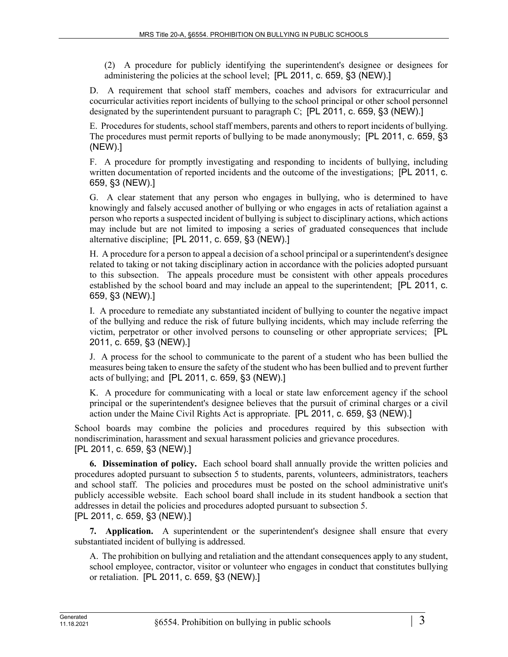(2) A procedure for publicly identifying the superintendent's designee or designees for administering the policies at the school level; [PL 2011, c. 659, §3 (NEW).]

D. A requirement that school staff members, coaches and advisors for extracurricular and cocurricular activities report incidents of bullying to the school principal or other school personnel designated by the superintendent pursuant to paragraph C; [PL 2011, c. 659, §3 (NEW).]

E. Procedures for students, school staff members, parents and others to report incidents of bullying. The procedures must permit reports of bullying to be made anonymously; [PL 2011, c. 659, §3 (NEW).]

F. A procedure for promptly investigating and responding to incidents of bullying, including written documentation of reported incidents and the outcome of the investigations; [PL 2011, c. 659, §3 (NEW).]

G. A clear statement that any person who engages in bullying, who is determined to have knowingly and falsely accused another of bullying or who engages in acts of retaliation against a person who reports a suspected incident of bullying is subject to disciplinary actions, which actions may include but are not limited to imposing a series of graduated consequences that include alternative discipline; [PL 2011, c. 659, §3 (NEW).]

H. A procedure for a person to appeal a decision of a school principal or a superintendent's designee related to taking or not taking disciplinary action in accordance with the policies adopted pursuant to this subsection. The appeals procedure must be consistent with other appeals procedures established by the school board and may include an appeal to the superintendent; [PL 2011, c. 659, §3 (NEW).]

I. A procedure to remediate any substantiated incident of bullying to counter the negative impact of the bullying and reduce the risk of future bullying incidents, which may include referring the victim, perpetrator or other involved persons to counseling or other appropriate services; [PL 2011, c. 659, §3 (NEW).]

J. A process for the school to communicate to the parent of a student who has been bullied the measures being taken to ensure the safety of the student who has been bullied and to prevent further acts of bullying; and [PL 2011, c. 659, §3 (NEW).]

K. A procedure for communicating with a local or state law enforcement agency if the school principal or the superintendent's designee believes that the pursuit of criminal charges or a civil action under the Maine Civil Rights Act is appropriate. [PL 2011, c. 659, §3 (NEW).]

School boards may combine the policies and procedures required by this subsection with nondiscrimination, harassment and sexual harassment policies and grievance procedures. [PL 2011, c. 659, §3 (NEW).]

**6. Dissemination of policy.** Each school board shall annually provide the written policies and procedures adopted pursuant to subsection 5 to students, parents, volunteers, administrators, teachers and school staff. The policies and procedures must be posted on the school administrative unit's publicly accessible website. Each school board shall include in its student handbook a section that addresses in detail the policies and procedures adopted pursuant to subsection 5. [PL 2011, c. 659, §3 (NEW).]

**7. Application.** A superintendent or the superintendent's designee shall ensure that every substantiated incident of bullying is addressed.

A. The prohibition on bullying and retaliation and the attendant consequences apply to any student, school employee, contractor, visitor or volunteer who engages in conduct that constitutes bullying or retaliation. [PL 2011, c. 659, §3 (NEW).]